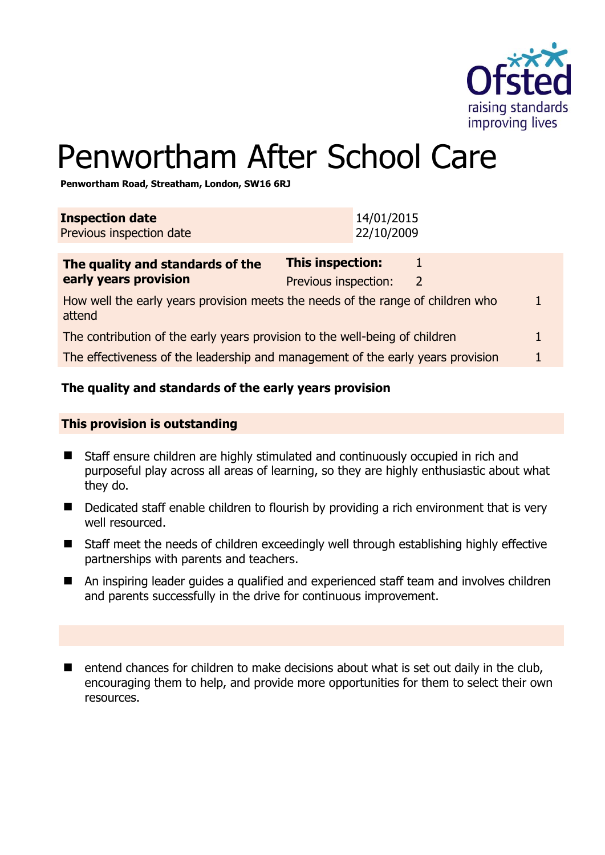

# Penwortham After School Care

**Penwortham Road, Streatham, London, SW16 6RJ** 

| <b>Inspection date</b><br>Previous inspection date                                        | 14/01/2015<br>22/10/2009                        |                |  |
|-------------------------------------------------------------------------------------------|-------------------------------------------------|----------------|--|
| The quality and standards of the<br>early years provision                                 | <b>This inspection:</b><br>Previous inspection: | $\overline{2}$ |  |
| How well the early years provision meets the needs of the range of children who<br>attend |                                                 |                |  |
| The contribution of the early years provision to the well-being of children               |                                                 |                |  |
| The effectiveness of the leadership and management of the early years provision           |                                                 |                |  |
|                                                                                           |                                                 |                |  |

# **The quality and standards of the early years provision**

#### **This provision is outstanding**

- Staff ensure children are highly stimulated and continuously occupied in rich and purposeful play across all areas of learning, so they are highly enthusiastic about what they do.
- Dedicated staff enable children to flourish by providing a rich environment that is very well resourced.
- Staff meet the needs of children exceedingly well through establishing highly effective partnerships with parents and teachers.
- An inspiring leader guides a qualified and experienced staff team and involves children and parents successfully in the drive for continuous improvement.
- $\blacksquare$  entend chances for children to make decisions about what is set out daily in the club, encouraging them to help, and provide more opportunities for them to select their own resources.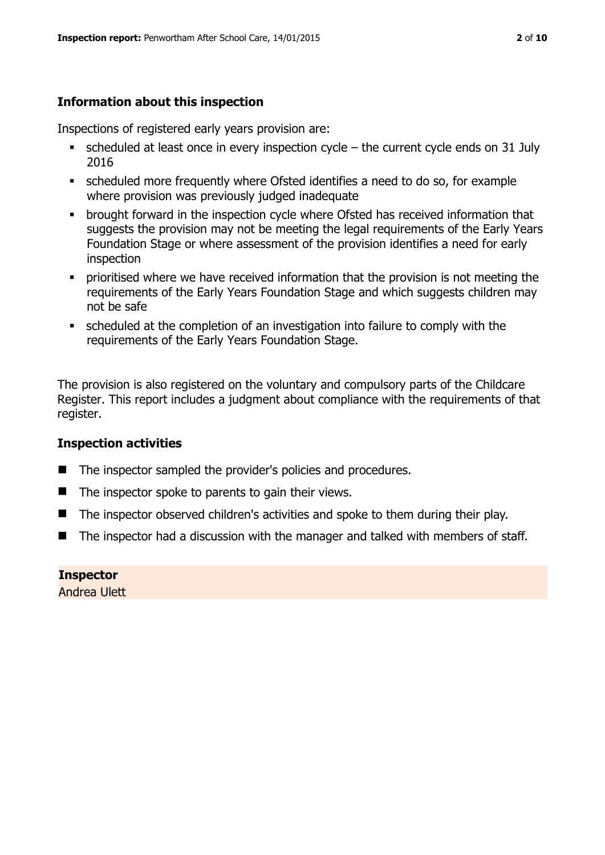# **Information about this inspection**

Inspections of registered early years provision are:

- scheduled at least once in every inspection cycle the current cycle ends on 31 July 2016
- scheduled more frequently where Ofsted identifies a need to do so, for example where provision was previously judged inadequate
- **•** brought forward in the inspection cycle where Ofsted has received information that suggests the provision may not be meeting the legal requirements of the Early Years Foundation Stage or where assessment of the provision identifies a need for early inspection
- **•** prioritised where we have received information that the provision is not meeting the requirements of the Early Years Foundation Stage and which suggests children may not be safe
- scheduled at the completion of an investigation into failure to comply with the requirements of the Early Years Foundation Stage.

The provision is also registered on the voluntary and compulsory parts of the Childcare Register. This report includes a judgment about compliance with the requirements of that register.

# **Inspection activities**

- The inspector sampled the provider's policies and procedures.
- $\blacksquare$  The inspector spoke to parents to gain their views.
- The inspector observed children's activities and spoke to them during their play.
- The inspector had a discussion with the manager and talked with members of staff.

**Inspector**  Andrea Ulett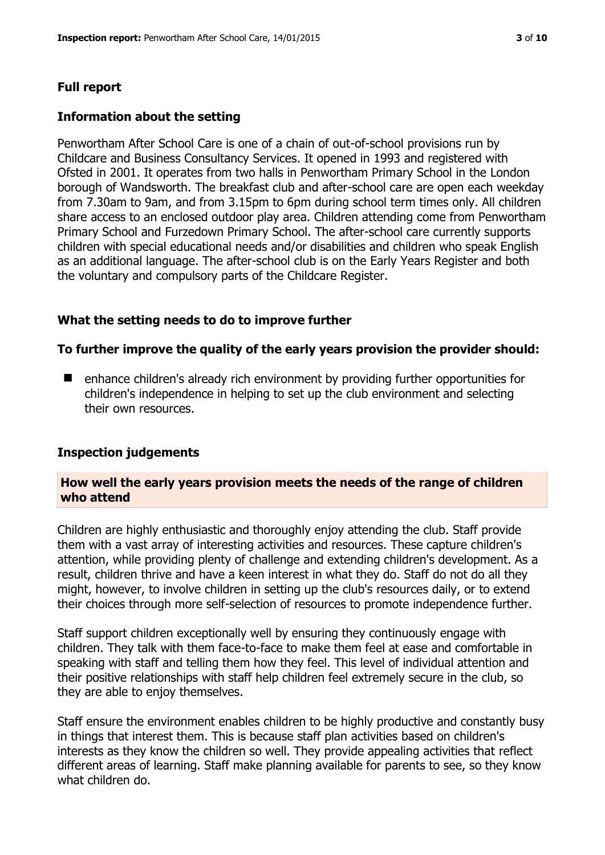# **Full report**

### **Information about the setting**

Penwortham After School Care is one of a chain of out-of-school provisions run by Childcare and Business Consultancy Services. It opened in 1993 and registered with Ofsted in 2001. It operates from two halls in Penwortham Primary School in the London borough of Wandsworth. The breakfast club and after-school care are open each weekday from 7.30am to 9am, and from 3.15pm to 6pm during school term times only. All children share access to an enclosed outdoor play area. Children attending come from Penwortham Primary School and Furzedown Primary School. The after-school care currently supports children with special educational needs and/or disabilities and children who speak English as an additional language. The after-school club is on the Early Years Register and both the voluntary and compulsory parts of the Childcare Register.

# **What the setting needs to do to improve further**

#### **To further improve the quality of the early years provision the provider should:**

■ enhance children's already rich environment by providing further opportunities for children's independence in helping to set up the club environment and selecting their own resources.

#### **Inspection judgements**

#### **How well the early years provision meets the needs of the range of children who attend**

Children are highly enthusiastic and thoroughly enjoy attending the club. Staff provide them with a vast array of interesting activities and resources. These capture children's attention, while providing plenty of challenge and extending children's development. As a result, children thrive and have a keen interest in what they do. Staff do not do all they might, however, to involve children in setting up the club's resources daily, or to extend their choices through more self-selection of resources to promote independence further.

Staff support children exceptionally well by ensuring they continuously engage with children. They talk with them face-to-face to make them feel at ease and comfortable in speaking with staff and telling them how they feel. This level of individual attention and their positive relationships with staff help children feel extremely secure in the club, so they are able to enjoy themselves.

Staff ensure the environment enables children to be highly productive and constantly busy in things that interest them. This is because staff plan activities based on children's interests as they know the children so well. They provide appealing activities that reflect different areas of learning. Staff make planning available for parents to see, so they know what children do.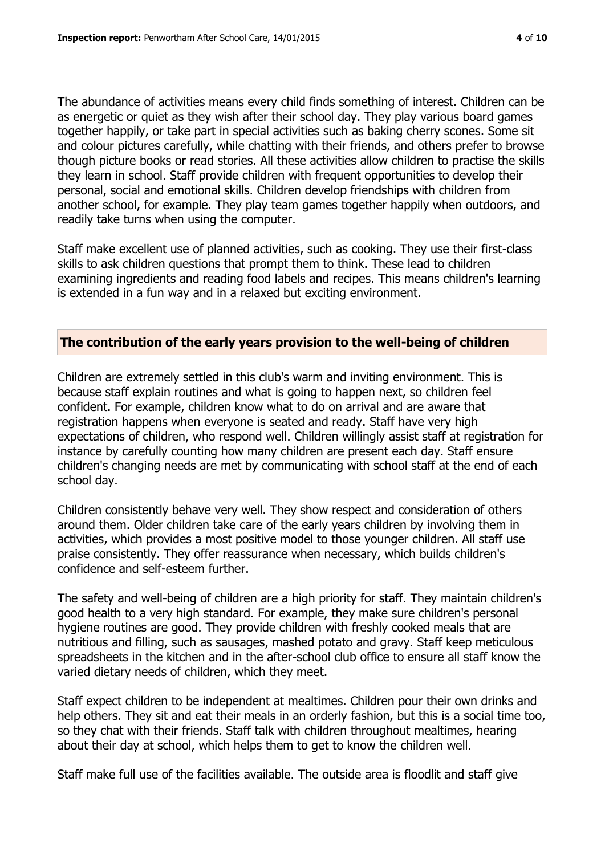The abundance of activities means every child finds something of interest. Children can be as energetic or quiet as they wish after their school day. They play various board games together happily, or take part in special activities such as baking cherry scones. Some sit and colour pictures carefully, while chatting with their friends, and others prefer to browse though picture books or read stories. All these activities allow children to practise the skills they learn in school. Staff provide children with frequent opportunities to develop their personal, social and emotional skills. Children develop friendships with children from another school, for example. They play team games together happily when outdoors, and readily take turns when using the computer.

Staff make excellent use of planned activities, such as cooking. They use their first-class skills to ask children questions that prompt them to think. These lead to children examining ingredients and reading food labels and recipes. This means children's learning is extended in a fun way and in a relaxed but exciting environment.

#### **The contribution of the early years provision to the well-being of children**

Children are extremely settled in this club's warm and inviting environment. This is because staff explain routines and what is going to happen next, so children feel confident. For example, children know what to do on arrival and are aware that registration happens when everyone is seated and ready. Staff have very high expectations of children, who respond well. Children willingly assist staff at registration for instance by carefully counting how many children are present each day. Staff ensure children's changing needs are met by communicating with school staff at the end of each school day.

Children consistently behave very well. They show respect and consideration of others around them. Older children take care of the early years children by involving them in activities, which provides a most positive model to those younger children. All staff use praise consistently. They offer reassurance when necessary, which builds children's confidence and self-esteem further.

The safety and well-being of children are a high priority for staff. They maintain children's good health to a very high standard. For example, they make sure children's personal hygiene routines are good. They provide children with freshly cooked meals that are nutritious and filling, such as sausages, mashed potato and gravy. Staff keep meticulous spreadsheets in the kitchen and in the after-school club office to ensure all staff know the varied dietary needs of children, which they meet.

Staff expect children to be independent at mealtimes. Children pour their own drinks and help others. They sit and eat their meals in an orderly fashion, but this is a social time too, so they chat with their friends. Staff talk with children throughout mealtimes, hearing about their day at school, which helps them to get to know the children well.

Staff make full use of the facilities available. The outside area is floodlit and staff give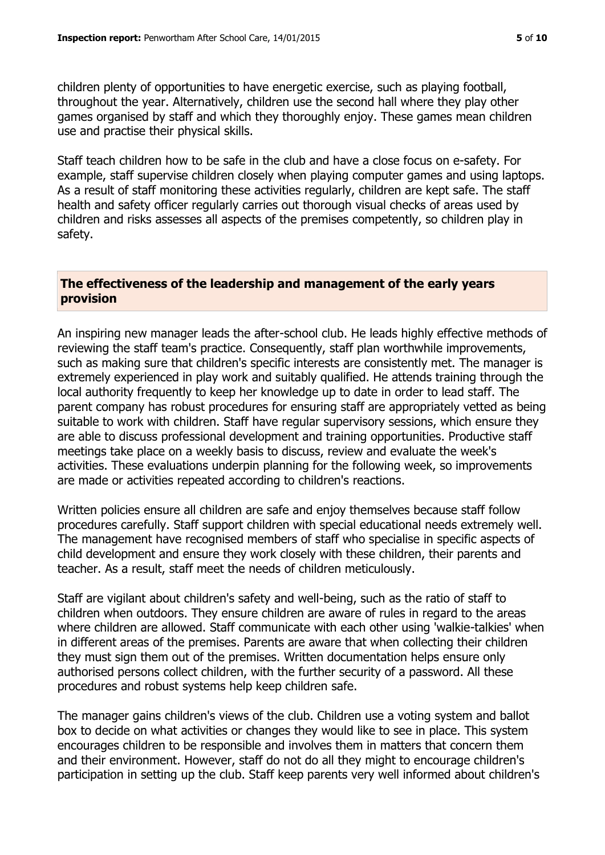children plenty of opportunities to have energetic exercise, such as playing football, throughout the year. Alternatively, children use the second hall where they play other games organised by staff and which they thoroughly enjoy. These games mean children use and practise their physical skills.

Staff teach children how to be safe in the club and have a close focus on e-safety. For example, staff supervise children closely when playing computer games and using laptops. As a result of staff monitoring these activities regularly, children are kept safe. The staff health and safety officer regularly carries out thorough visual checks of areas used by children and risks assesses all aspects of the premises competently, so children play in safety.

#### **The effectiveness of the leadership and management of the early years provision**

An inspiring new manager leads the after-school club. He leads highly effective methods of reviewing the staff team's practice. Consequently, staff plan worthwhile improvements, such as making sure that children's specific interests are consistently met. The manager is extremely experienced in play work and suitably qualified. He attends training through the local authority frequently to keep her knowledge up to date in order to lead staff. The parent company has robust procedures for ensuring staff are appropriately vetted as being suitable to work with children. Staff have regular supervisory sessions, which ensure they are able to discuss professional development and training opportunities. Productive staff meetings take place on a weekly basis to discuss, review and evaluate the week's activities. These evaluations underpin planning for the following week, so improvements are made or activities repeated according to children's reactions.

Written policies ensure all children are safe and enjoy themselves because staff follow procedures carefully. Staff support children with special educational needs extremely well. The management have recognised members of staff who specialise in specific aspects of child development and ensure they work closely with these children, their parents and teacher. As a result, staff meet the needs of children meticulously.

Staff are vigilant about children's safety and well-being, such as the ratio of staff to children when outdoors. They ensure children are aware of rules in regard to the areas where children are allowed. Staff communicate with each other using 'walkie-talkies' when in different areas of the premises. Parents are aware that when collecting their children they must sign them out of the premises. Written documentation helps ensure only authorised persons collect children, with the further security of a password. All these procedures and robust systems help keep children safe.

The manager gains children's views of the club. Children use a voting system and ballot box to decide on what activities or changes they would like to see in place. This system encourages children to be responsible and involves them in matters that concern them and their environment. However, staff do not do all they might to encourage children's participation in setting up the club. Staff keep parents very well informed about children's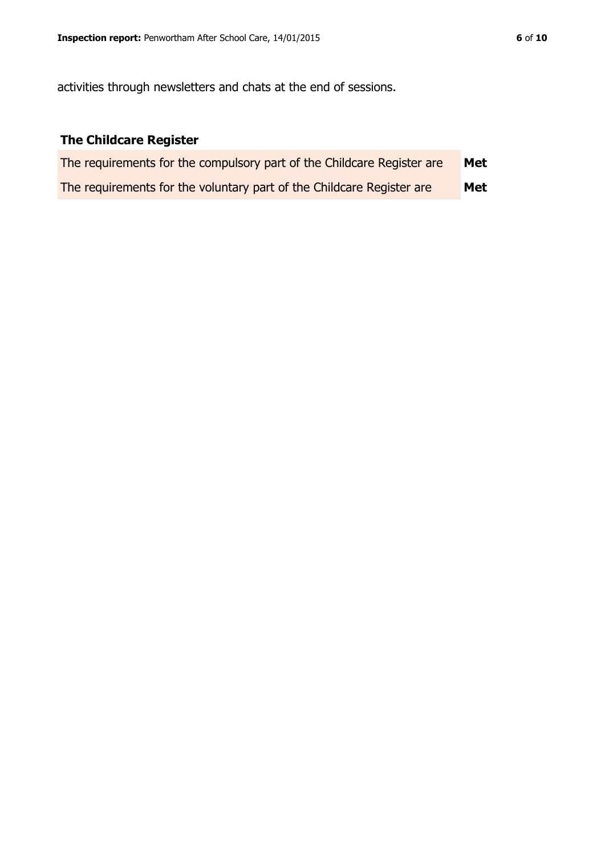activities through newsletters and chats at the end of sessions.

# **The Childcare Register**

| The requirements for the compulsory part of the Childcare Register are | Met |
|------------------------------------------------------------------------|-----|
| The requirements for the voluntary part of the Childcare Register are  | Met |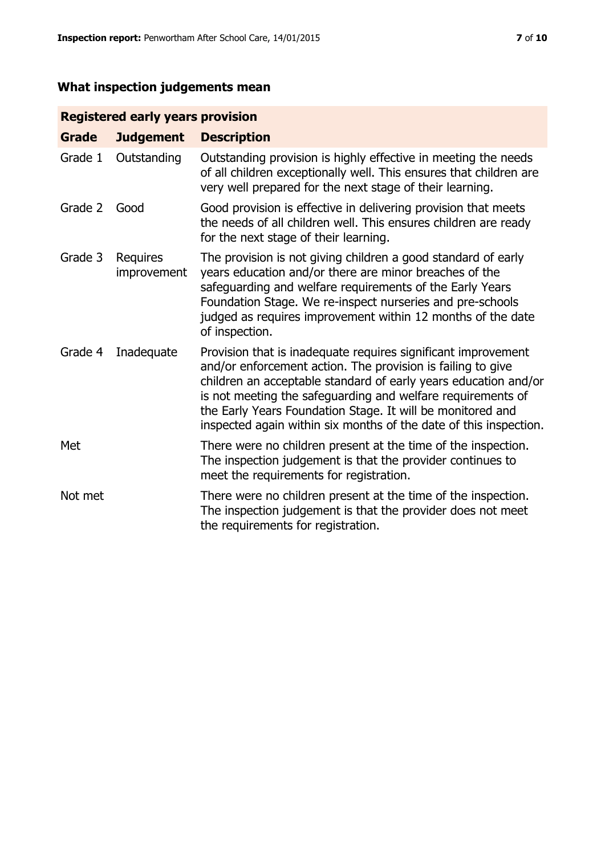# **What inspection judgements mean**

# **Registered early years provision**

| <b>Grade</b> | <b>Judgement</b>               | <b>Description</b>                                                                                                                                                                                                                                                                                                                                                                                |
|--------------|--------------------------------|---------------------------------------------------------------------------------------------------------------------------------------------------------------------------------------------------------------------------------------------------------------------------------------------------------------------------------------------------------------------------------------------------|
| Grade 1      | Outstanding                    | Outstanding provision is highly effective in meeting the needs<br>of all children exceptionally well. This ensures that children are<br>very well prepared for the next stage of their learning.                                                                                                                                                                                                  |
| Grade 2      | Good                           | Good provision is effective in delivering provision that meets<br>the needs of all children well. This ensures children are ready<br>for the next stage of their learning.                                                                                                                                                                                                                        |
| Grade 3      | <b>Requires</b><br>improvement | The provision is not giving children a good standard of early<br>years education and/or there are minor breaches of the<br>safeguarding and welfare requirements of the Early Years<br>Foundation Stage. We re-inspect nurseries and pre-schools<br>judged as requires improvement within 12 months of the date<br>of inspection.                                                                 |
| Grade 4      | Inadequate                     | Provision that is inadequate requires significant improvement<br>and/or enforcement action. The provision is failing to give<br>children an acceptable standard of early years education and/or<br>is not meeting the safeguarding and welfare requirements of<br>the Early Years Foundation Stage. It will be monitored and<br>inspected again within six months of the date of this inspection. |
| Met          |                                | There were no children present at the time of the inspection.<br>The inspection judgement is that the provider continues to<br>meet the requirements for registration.                                                                                                                                                                                                                            |
| Not met      |                                | There were no children present at the time of the inspection.<br>The inspection judgement is that the provider does not meet<br>the requirements for registration.                                                                                                                                                                                                                                |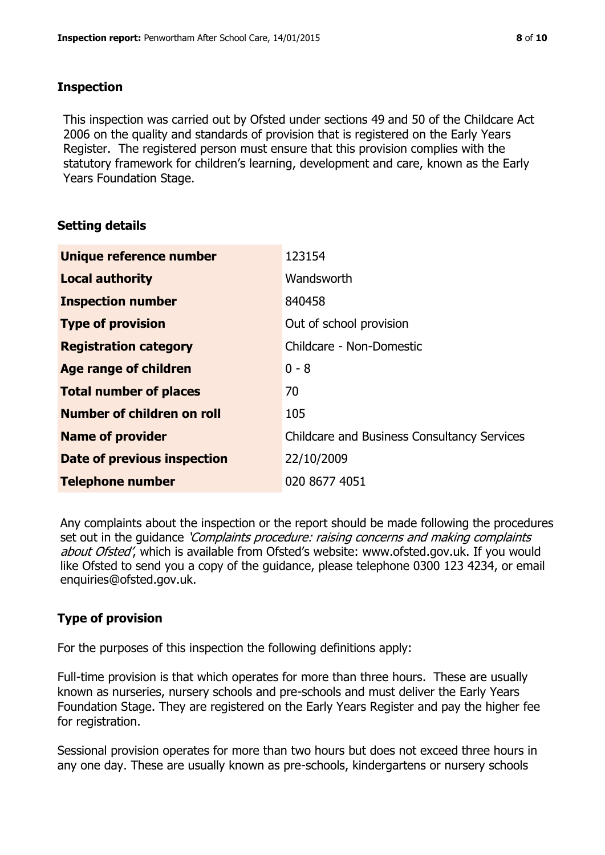#### **Inspection**

This inspection was carried out by Ofsted under sections 49 and 50 of the Childcare Act 2006 on the quality and standards of provision that is registered on the Early Years Register. The registered person must ensure that this provision complies with the statutory framework for children's learning, development and care, known as the Early Years Foundation Stage.

# **Setting details**

| Unique reference number       | 123154                                             |
|-------------------------------|----------------------------------------------------|
| <b>Local authority</b>        | Wandsworth                                         |
| <b>Inspection number</b>      | 840458                                             |
| <b>Type of provision</b>      | Out of school provision                            |
| <b>Registration category</b>  | Childcare - Non-Domestic                           |
| Age range of children         | $0 - 8$                                            |
| <b>Total number of places</b> | 70                                                 |
| Number of children on roll    | 105                                                |
| <b>Name of provider</b>       | <b>Childcare and Business Consultancy Services</b> |
| Date of previous inspection   | 22/10/2009                                         |
| <b>Telephone number</b>       | 020 8677 4051                                      |

Any complaints about the inspection or the report should be made following the procedures set out in the guidance *'Complaints procedure: raising concerns and making complaints* about Ofsted', which is available from Ofsted's website: www.ofsted.gov.uk. If you would like Ofsted to send you a copy of the guidance, please telephone 0300 123 4234, or email enquiries@ofsted.gov.uk.

# **Type of provision**

For the purposes of this inspection the following definitions apply:

Full-time provision is that which operates for more than three hours. These are usually known as nurseries, nursery schools and pre-schools and must deliver the Early Years Foundation Stage. They are registered on the Early Years Register and pay the higher fee for registration.

Sessional provision operates for more than two hours but does not exceed three hours in any one day. These are usually known as pre-schools, kindergartens or nursery schools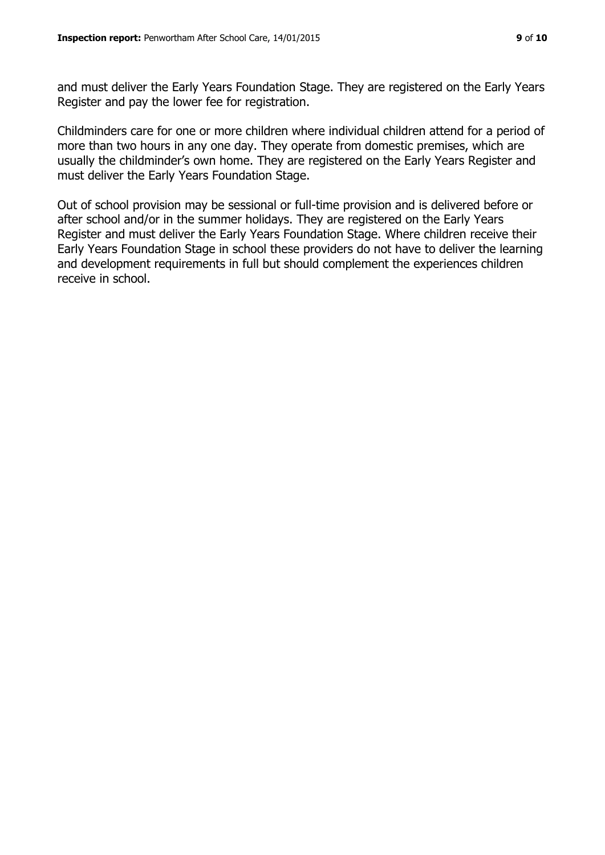and must deliver the Early Years Foundation Stage. They are registered on the Early Years Register and pay the lower fee for registration.

Childminders care for one or more children where individual children attend for a period of more than two hours in any one day. They operate from domestic premises, which are usually the childminder's own home. They are registered on the Early Years Register and must deliver the Early Years Foundation Stage.

Out of school provision may be sessional or full-time provision and is delivered before or after school and/or in the summer holidays. They are registered on the Early Years Register and must deliver the Early Years Foundation Stage. Where children receive their Early Years Foundation Stage in school these providers do not have to deliver the learning and development requirements in full but should complement the experiences children receive in school.